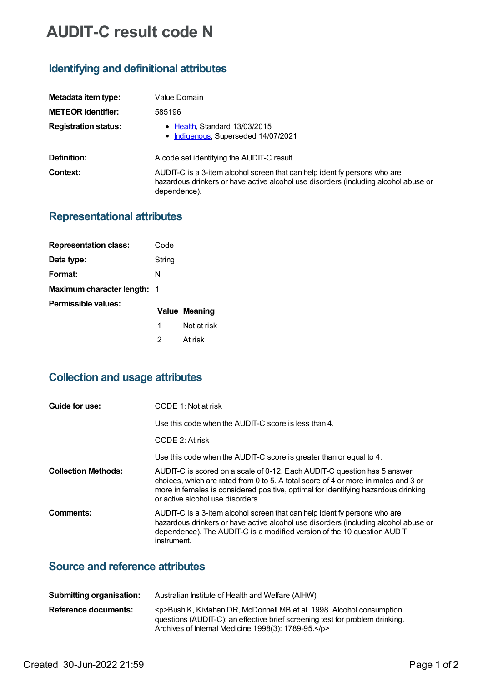# **AUDIT-C result code N**

## **Identifying and definitional attributes**

| Metadata item type:         | Value Domain                                                                                                                                                                     |
|-----------------------------|----------------------------------------------------------------------------------------------------------------------------------------------------------------------------------|
| <b>METEOR identifier:</b>   | 585196                                                                                                                                                                           |
| <b>Registration status:</b> | • Health, Standard 13/03/2015<br>• Indigenous, Superseded 14/07/2021                                                                                                             |
| Definition:                 | A code set identifying the AUDIT-C result                                                                                                                                        |
| Context:                    | AUDIT-C is a 3-item alcohol screen that can help identify persons who are<br>hazardous drinkers or have active alcohol use disorders (including alcohol abuse or<br>dependence). |

#### **Representational attributes**

| <b>Representation class:</b>       | Code   |               |
|------------------------------------|--------|---------------|
| Data type:                         | String |               |
| Format:                            | N      |               |
| <b>Maximum character length: 1</b> |        |               |
| Permissible values:                |        | Value Meaning |
|                                    | 1      | Not at risk   |
|                                    | 2      | At risk       |

## **Collection and usage attributes**

| Guide for use:             | CODE 1: Not at risk                                                                                                                                                                                                                                                                      |
|----------------------------|------------------------------------------------------------------------------------------------------------------------------------------------------------------------------------------------------------------------------------------------------------------------------------------|
|                            | Use this code when the $AUDIT-C$ score is less than $4$ .                                                                                                                                                                                                                                |
|                            | CODE 2: At risk                                                                                                                                                                                                                                                                          |
|                            | Use this code when the AUDIT-C score is greater than or equal to 4.                                                                                                                                                                                                                      |
| <b>Collection Methods:</b> | AUDIT-C is scored on a scale of 0-12. Each AUDIT-C question has 5 answer<br>choices, which are rated from 0 to 5. A total score of 4 or more in males and 3 or<br>more in females is considered positive, optimal for identifying hazardous drinking<br>or active alcohol use disorders. |
| Comments:                  | AUDIT-C is a 3-item alcohol screen that can help identify persons who are<br>hazardous drinkers or have active alcohol use disorders (including alcohol abuse or<br>dependence). The AUDIT-C is a modified version of the 10 question AUDIT<br>instrument.                               |

### **Source and reference attributes**

| Submitting organisation: | Australian Institute of Health and Welfare (AIHW)                                                                                                                                                              |
|--------------------------|----------------------------------------------------------------------------------------------------------------------------------------------------------------------------------------------------------------|
| Reference documents:     | <p>Bush K, Kivlahan DR, McDonnell MB et al. 1998. Alcohol consumption<br/>questions (AUDIT-C): an effective brief screening test for problem drinking.<br/>Archives of Internal Medicine 1998(3): 1789-95.</p> |